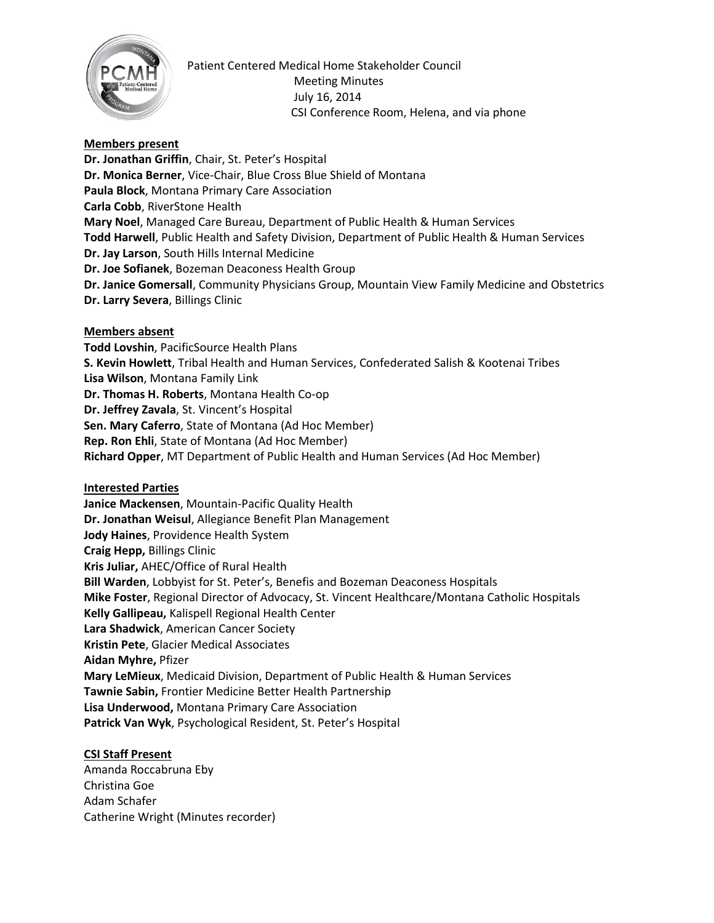

Patient Centered Medical Home Stakeholder Council Meeting Minutes July 16, 2014 CSI Conference Room, Helena, and via phone

# **Members present**

**Dr. Jonathan Griffin**, Chair, St. Peter's Hospital **Dr. Monica Berner**, Vice-Chair, Blue Cross Blue Shield of Montana **Paula Block**, Montana Primary Care Association **Carla Cobb**, RiverStone Health **Mary Noel**, Managed Care Bureau, Department of Public Health & Human Services **Todd Harwell**, Public Health and Safety Division, Department of Public Health & Human Services **Dr. Jay Larson**, South Hills Internal Medicine **Dr. Joe Sofianek**, Bozeman Deaconess Health Group **Dr. Janice Gomersall**, Community Physicians Group, Mountain View Family Medicine and Obstetrics **Dr. Larry Severa**, Billings Clinic

#### **Members absent**

**Todd Lovshin**, PacificSource Health Plans **S. Kevin Howlett**, Tribal Health and Human Services, Confederated Salish & Kootenai Tribes **Lisa Wilson**, Montana Family Link **Dr. Thomas H. Roberts**, Montana Health Co-op **Dr. Jeffrey Zavala**, St. Vincent's Hospital **Sen. Mary Caferro**, State of Montana (Ad Hoc Member) **Rep. Ron Ehli**, State of Montana (Ad Hoc Member) **Richard Opper**, MT Department of Public Health and Human Services (Ad Hoc Member)

**Interested Parties Janice Mackensen**, Mountain-Pacific Quality Health **Dr. Jonathan Weisul**, Allegiance Benefit Plan Management **Jody Haines**, Providence Health System **Craig Hepp,** Billings Clinic **Kris Juliar,** AHEC/Office of Rural Health **Bill Warden**, Lobbyist for St. Peter's, Benefis and Bozeman Deaconess Hospitals **Mike Foster**, Regional Director of Advocacy, St. Vincent Healthcare/Montana Catholic Hospitals **Kelly Gallipeau,** Kalispell Regional Health Center **Lara Shadwick**, American Cancer Society **Kristin Pete**, Glacier Medical Associates **Aidan Myhre,** Pfizer **Mary LeMieux**, Medicaid Division, Department of Public Health & Human Services **Tawnie Sabin,** Frontier Medicine Better Health Partnership **Lisa Underwood,** Montana Primary Care Association **Patrick Van Wyk**, Psychological Resident, St. Peter's Hospital

### **CSI Staff Present**

Amanda Roccabruna Eby Christina Goe Adam Schafer Catherine Wright (Minutes recorder)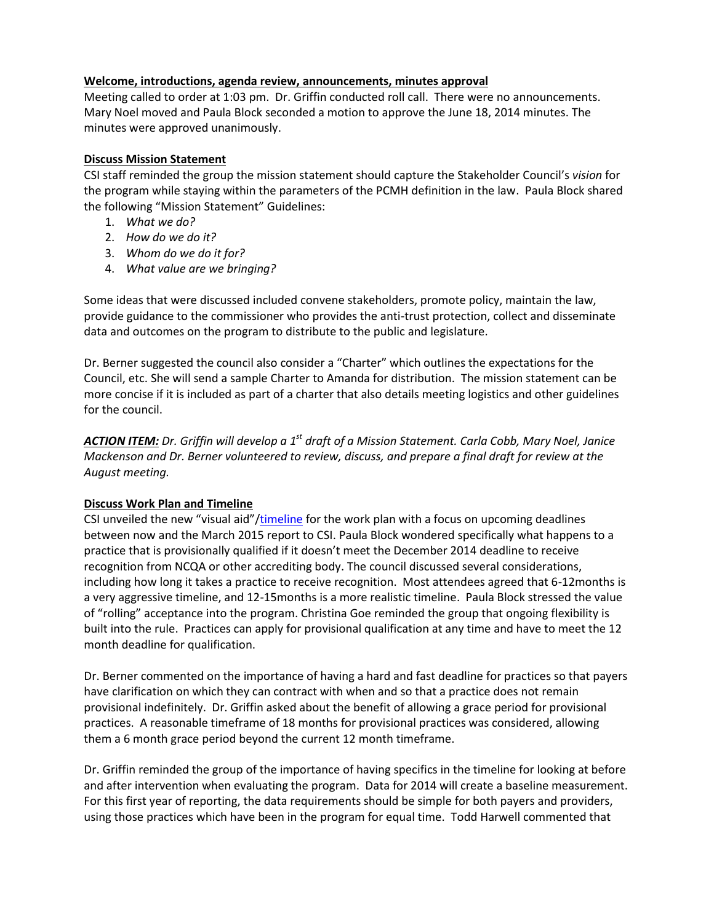# **Welcome, introductions, agenda review, announcements, minutes approval**

Meeting called to order at 1:03 pm. Dr. Griffin conducted roll call. There were no announcements. Mary Noel moved and Paula Block seconded a motion to approve the June 18, 2014 minutes. The minutes were approved unanimously.

## **Discuss Mission Statement**

CSI staff reminded the group the mission statement should capture the Stakeholder Council's *vision* for the program while staying within the parameters of the PCMH definition in the law. Paula Block shared the following "Mission Statement" Guidelines:

- 1. *What we do?*
- 2. *How do we do it?*
- 3. *Whom do we do it for?*
- 4. *What value are we bringing?*

Some ideas that were discussed included convene stakeholders, promote policy, maintain the law, provide guidance to the commissioner who provides the anti-trust protection, collect and disseminate data and outcomes on the program to distribute to the public and legislature.

Dr. Berner suggested the council also consider a "Charter" which outlines the expectations for the Council, etc. She will send a sample Charter to Amanda for distribution. The mission statement can be more concise if it is included as part of a charter that also details meeting logistics and other guidelines for the council.

*ACTION ITEM: Dr. Griffin will develop a 1st draft of a Mission Statement. Carla Cobb, Mary Noel, Janice Mackenson and Dr. Berner volunteered to review, discuss, and prepare a final draft for review at the August meeting.*

### **Discuss Work Plan and Timeline**

CSI unveiled the new "visual aid"/[timeline](http://www.csi.mt.gov/medicalhomes/StakeholderCouncil/07162014Meeting/CouncilTimelineAug14-Mar15.pdf) for the work plan with a focus on upcoming deadlines between now and the March 2015 report to CSI. Paula Block wondered specifically what happens to a practice that is provisionally qualified if it doesn't meet the December 2014 deadline to receive recognition from NCQA or other accrediting body. The council discussed several considerations, including how long it takes a practice to receive recognition. Most attendees agreed that 6-12months is a very aggressive timeline, and 12-15months is a more realistic timeline. Paula Block stressed the value of "rolling" acceptance into the program. Christina Goe reminded the group that ongoing flexibility is built into the rule. Practices can apply for provisional qualification at any time and have to meet the 12 month deadline for qualification.

Dr. Berner commented on the importance of having a hard and fast deadline for practices so that payers have clarification on which they can contract with when and so that a practice does not remain provisional indefinitely. Dr. Griffin asked about the benefit of allowing a grace period for provisional practices. A reasonable timeframe of 18 months for provisional practices was considered, allowing them a 6 month grace period beyond the current 12 month timeframe.

Dr. Griffin reminded the group of the importance of having specifics in the timeline for looking at before and after intervention when evaluating the program. Data for 2014 will create a baseline measurement. For this first year of reporting, the data requirements should be simple for both payers and providers, using those practices which have been in the program for equal time. Todd Harwell commented that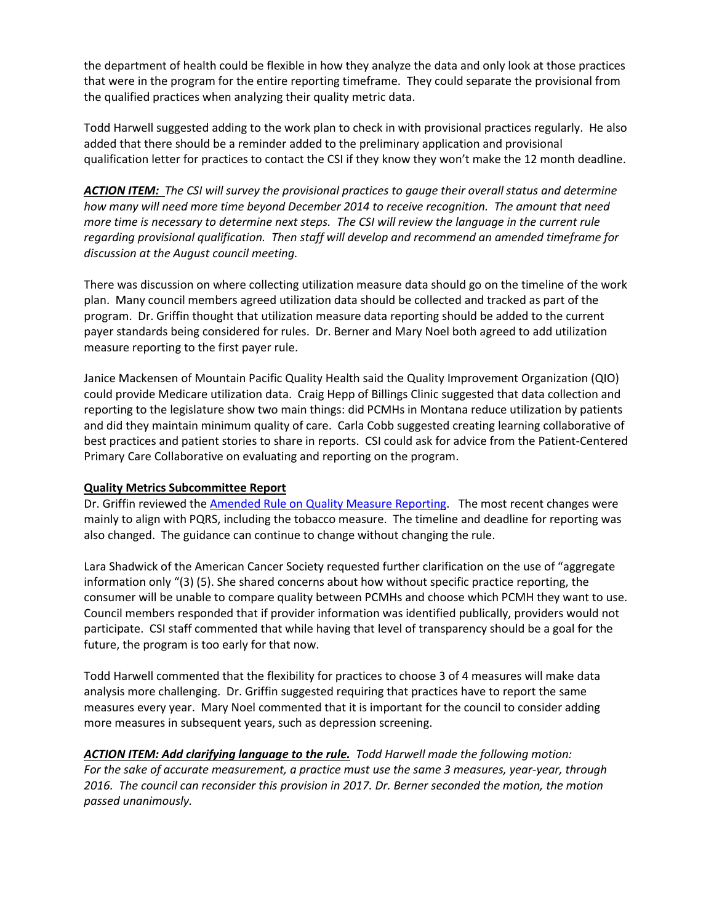the department of health could be flexible in how they analyze the data and only look at those practices that were in the program for the entire reporting timeframe. They could separate the provisional from the qualified practices when analyzing their quality metric data.

Todd Harwell suggested adding to the work plan to check in with provisional practices regularly. He also added that there should be a reminder added to the preliminary application and provisional qualification letter for practices to contact the CSI if they know they won't make the 12 month deadline.

*ACTION ITEM: The CSI will survey the provisional practices to gauge their overall status and determine how many will need more time beyond December 2014 to receive recognition. The amount that need more time is necessary to determine next steps. The CSI will review the language in the current rule regarding provisional qualification. Then staff will develop and recommend an amended timeframe for discussion at the August council meeting.* 

There was discussion on where collecting utilization measure data should go on the timeline of the work plan. Many council members agreed utilization data should be collected and tracked as part of the program. Dr. Griffin thought that utilization measure data reporting should be added to the current payer standards being considered for rules. Dr. Berner and Mary Noel both agreed to add utilization measure reporting to the first payer rule.

Janice Mackensen of Mountain Pacific Quality Health said the Quality Improvement Organization (QIO) could provide Medicare utilization data. Craig Hepp of Billings Clinic suggested that data collection and reporting to the legislature show two main things: did PCMHs in Montana reduce utilization by patients and did they maintain minimum quality of care. Carla Cobb suggested creating learning collaborative of best practices and patient stories to share in reports. CSI could ask for advice from the Patient-Centered Primary Care Collaborative on evaluating and reporting on the program.

### **Quality Metrics Subcommittee Report**

Dr. Griffin reviewed the [Amended Rule on Quality Measure Reporting.](http://www.csi.mt.gov/medicalhomes/StakeholderCouncil/07162014Meeting/PCMHQMrulesamended7-16-14.pdf) The most recent changes were mainly to align with PQRS, including the tobacco measure. The timeline and deadline for reporting was also changed. The guidance can continue to change without changing the rule.

Lara Shadwick of the American Cancer Society requested further clarification on the use of "aggregate information only "(3) (5). She shared concerns about how without specific practice reporting, the consumer will be unable to compare quality between PCMHs and choose which PCMH they want to use. Council members responded that if provider information was identified publically, providers would not participate. CSI staff commented that while having that level of transparency should be a goal for the future, the program is too early for that now.

Todd Harwell commented that the flexibility for practices to choose 3 of 4 measures will make data analysis more challenging. Dr. Griffin suggested requiring that practices have to report the same measures every year. Mary Noel commented that it is important for the council to consider adding more measures in subsequent years, such as depression screening.

*ACTION ITEM: Add clarifying language to the rule. Todd Harwell made the following motion: For the sake of accurate measurement, a practice must use the same 3 measures, year-year, through 2016. The council can reconsider this provision in 2017. Dr. Berner seconded the motion, the motion passed unanimously.*